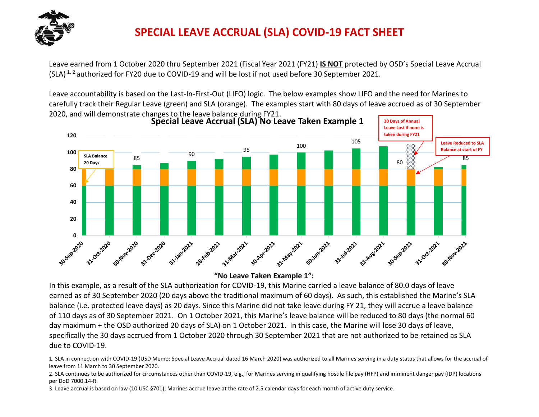

Leave earned from 1 October 2020 thru September 2021 (Fiscal Year 2021 (FY21) **IS NOT** protected by OSD's Special Leave Accrual (SLA) 1, 2 authorized for FY20 due to COVID-19 and will be lost if not used before 30 September 2021.

Leave accountability is based on the Last-In-First-Out (LIFO) logic. The below examples show LIFO and the need for Marines to carefully track their Regular Leave (green) and SLA (orange). The examples start with 80 days of leave accrued as of 30 September 2020, and will demonstrate changes to the leave balance during FY21.



Regular Leave SLA **"No Leave Taken Example 1":**

In this example, as a result of the SLA authorization for COVID-19, this Marine carried a leave balance of 80.0 days of leave earned as of 30 September 2020 (20 days above the traditional maximum of 60 days). As such, this established the Marine's SLA balance (i.e. protected leave days) as 20 days. Since this Marine did not take leave during FY 21, they will accrue a leave balance of 110 days as of 30 September 2021. On 1 October 2021, this Marine's leave balance will be reduced to 80 days (the normal 60 day maximum + the OSD authorized 20 days of SLA) on 1 October 2021. In this case, the Marine will lose 30 days of leave, specifically the 30 days accrued from 1 October 2020 through 30 September 2021 that are not authorized to be retained as SLA due to COVID-19.

1. SLA in connection with COVID-19 (USD Memo: Special Leave Accrual dated 16 March 2020) was authorized to all Marines serving in a duty status that allows for the accrual of leave from 11 March to 30 September 2020.

2. SLA continues to be authorized for circumstances other than COVID-19, e.g., for Marines serving in qualifying hostile file pay (HFP) and imminent danger pay (IDP) locations per DoD 7000.14-R.

3. Leave accrual is based on law (10 USC §701); Marines accrue leave at the rate of 2.5 calendar days for each month of active duty service.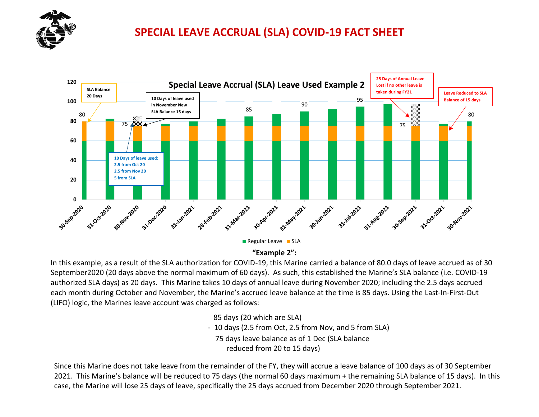



**"Example 2":**

In this example, as a result of the SLA authorization for COVID-19, this Marine carried a balance of 80.0 days of leave accrued as of 30 September2020 (20 days above the normal maximum of 60 days). As such, this established the Marine's SLA balance (i.e. COVID-19 authorized SLA days) as 20 days. This Marine takes 10 days of annual leave during November 2020; including the 2.5 days accrued each month during October and November, the Marine's accrued leave balance at the time is 85 days. Using the Last-In-First-Out (LIFO) logic, the Marines leave account was charged as follows:

85 days (20 which are SLA)

- 10 days (2.5 from Oct, 2.5 from Nov, and 5 from SLA)

 75 days leave balance as of 1 Dec (SLA balance reduced from 20 to 15 days)

Since this Marine does not take leave from the remainder of the FY, they will accrue a leave balance of 100 days as of 30 September 2021. This Marine's balance will be reduced to 75 days (the normal 60 days maximum + the remaining SLA balance of 15 days). In this case, the Marine will lose 25 days of leave, specifically the 25 days accrued from December 2020 through September 2021.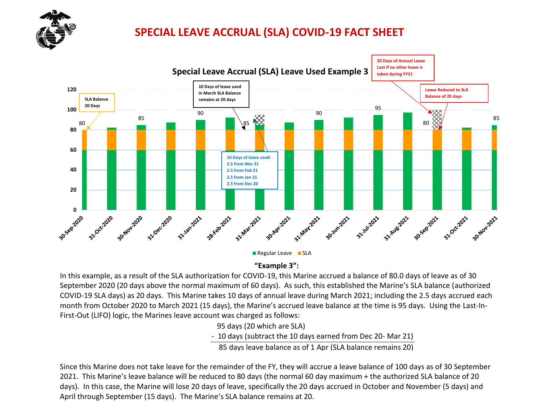



**"Example 3":**

In this example, as a result of the SLA authorization for COVID-19, this Marine accrued a balance of 80.0 days of leave as of 30 September 2020 (20 days above the normal maximum of 60 days). As such, this established the Marine's SLA balance (authorized COVID-19 SLA days) as 20 days. This Marine takes 10 days of annual leave during March 2021; including the 2.5 days accrued each month from October 2020 to March 2021 (15 days), the Marine's accrued leave balance at the time is 95 days. Using the Last-In-First-Out (LIFO) logic, the Marines leave account was charged as follows:

95 days (20 which are SLA)

- 10 days (subtract the 10 days earned from Dec 20- Mar 21)

85 days leave balance as of 1 Apr (SLA balance remains 20)

Since this Marine does not take leave for the remainder of the FY, they will accrue a leave balance of 100 days as of 30 September 2021. This Marine's leave balance will be reduced to 80 days (the normal 60 day maximum + the authorized SLA balance of 20 days). In this case, the Marine will lose 20 days of leave, specifically the 20 days accrued in October and November (5 days) and April through September (15 days). The Marine's SLA balance remains at 20.